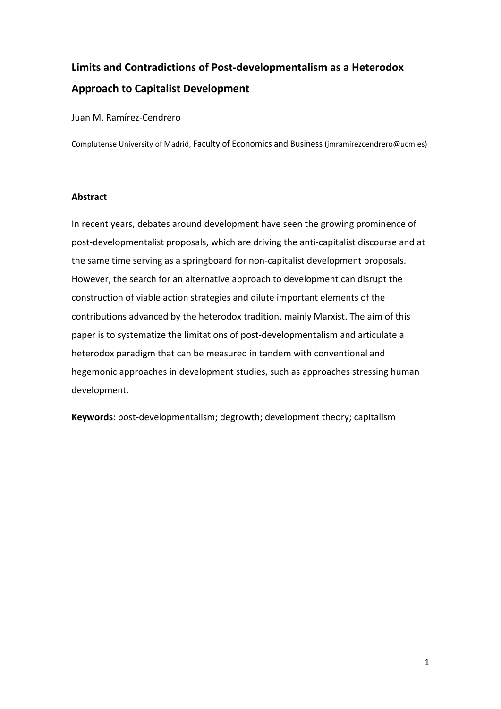# **Limits and Contradictions of Post-developmentalism as a Heterodox Approach to Capitalist Development**

Juan M. Ramírez-Cendrero

Complutense University of Madrid, Faculty of Economics and Business (jmramirezcendrero@ucm.es)

## **Abstract**

In recent years, debates around development have seen the growing prominence of post-developmentalist proposals, which are driving the anti-capitalist discourse and at the same time serving as a springboard for non-capitalist development proposals. However, the search for an alternative approach to development can disrupt the construction of viable action strategies and dilute important elements of the contributions advanced by the heterodox tradition, mainly Marxist. The aim of this paper is to systematize the limitations of post-developmentalism and articulate a heterodox paradigm that can be measured in tandem with conventional and hegemonic approaches in development studies, such as approaches stressing human development.

**Keywords**: post-developmentalism; degrowth; development theory; capitalism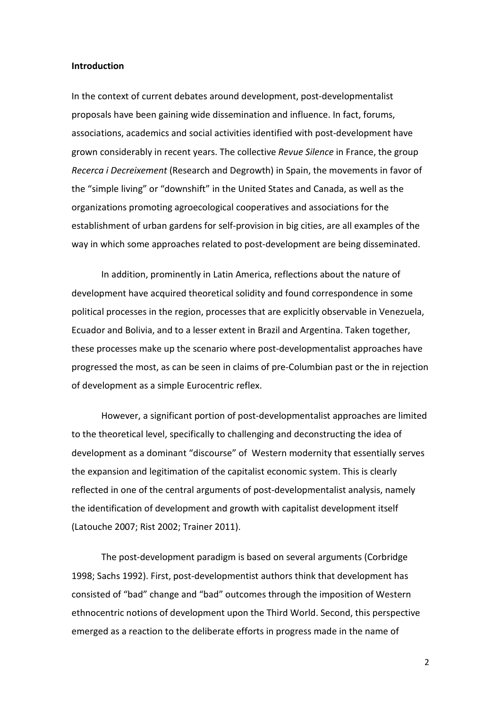### **Introduction**

In the context of current debates around development, post-developmentalist proposals have been gaining wide dissemination and influence. In fact, forums, associations, academics and social activities identified with post-development have grown considerably in recent years. The collective *Revue Silence* in France, the group *Recerca i Decreixement* (Research and Degrowth) in Spain, the movements in favor of the "simple living" or "downshift" in the United States and Canada, as well as the organizations promoting agroecological cooperatives and associations for the establishment of urban gardens for self-provision in big cities, are all examples of the way in which some approaches related to post-development are being disseminated.

In addition, prominently in Latin America, reflections about the nature of development have acquired theoretical solidity and found correspondence in some political processes in the region, processes that are explicitly observable in Venezuela, Ecuador and Bolivia, and to a lesser extent in Brazil and Argentina. Taken together, these processes make up the scenario where post-developmentalist approaches have progressed the most, as can be seen in claims of pre-Columbian past or the in rejection of development as a simple Eurocentric reflex.

However, a significant portion of post-developmentalist approaches are limited to the theoretical level, specifically to challenging and deconstructing the idea of development as a dominant "discourse" of Western modernity that essentially serves the expansion and legitimation of the capitalist economic system. This is clearly reflected in one of the central arguments of post-developmentalist analysis, namely the identification of development and growth with capitalist development itself (Latouche 2007; Rist 2002; Trainer 2011).

The post-development paradigm is based on several arguments (Corbridge 1998; Sachs 1992). First, post-developmentist authors think that development has consisted of "bad" change and "bad" outcomes through the imposition of Western ethnocentric notions of development upon the Third World. Second, this perspective emerged as a reaction to the deliberate efforts in progress made in the name of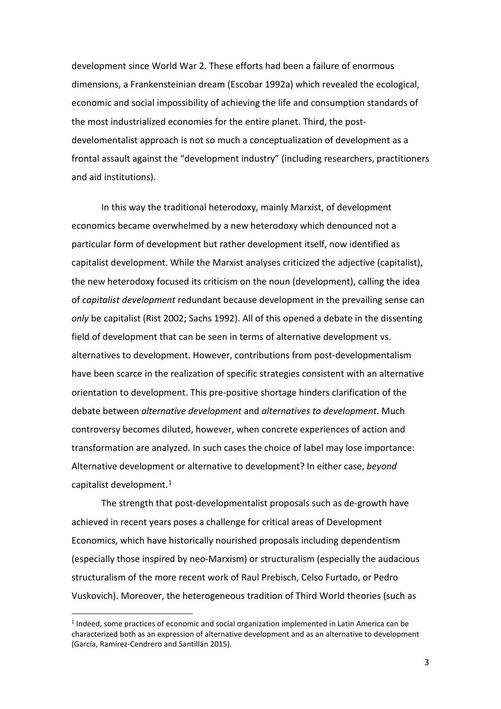development since World War 2. These efforts had been a failure of enormous dimensions, a Frankensteinian dream (Escobar 1992a) which revealed the ecological, economic and social impossibility of achieving the life and consumption standards of the most industrialized economies for the entire planet. Third, the postdevelomentalist approach is not so much a conceptualization of development as a frontal assault against the "development industry" (including researchers, practitioners and aid institutions).

In this way the traditional heterodoxy, mainly Marxist, of development economics became overwhelmed by a new heterodoxy which denounced not a particular form of development but rather development itself, now identified as capitalist development. While the Marxist analyses criticized the adjective (capitalist), the new heterodoxy focused its criticism on the noun (development), calling the idea of *capitalist development* redundant because development in the prevailing sense can *only* be capitalist (Rist 2002; Sachs 1992). All of this opened a debate in the dissenting field of development that can be seen in terms of alternative development vs. alternatives to development. However, contributions from post-developmentalism have been scarce in the realization of specific strategies consistent with an alternative orientation to development. This pre-positive shortage hinders clarification of the debate between *alternative development* and *alternatives to development*. Much controversy becomes diluted, however, when concrete experiences of action and transformation are analyzed. In such cases the choice of label may lose importance: Alternative development or alternative to development? In either case, *beyond* capitalist development.[1](#page-2-0)

The strength that post-developmentalist proposals such as de-growth have achieved in recent years poses a challenge for critical areas of Development Economics, which have historically nourished proposals including dependentism (especially those inspired by neo-Marxism) or structuralism (especially the audacious structuralism of the more recent work of Raul Prebisch, Celso Furtado, or Pedro Vuskovich). Moreover, the heterogeneous tradition of Third World theories (such as

<span id="page-2-0"></span> $<sup>1</sup>$  Indeed, some practices of economic and social organization implemented in Latin America can be</sup> characterized both as an expression of alternative development and as an alternative to development (García, Ramírez-Cendrero and Santillán 2015).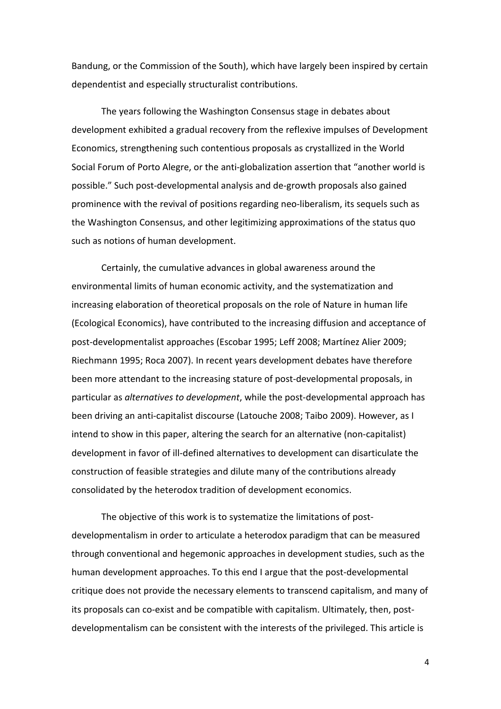Bandung, or the Commission of the South), which have largely been inspired by certain dependentist and especially structuralist contributions.

The years following the Washington Consensus stage in debates about development exhibited a gradual recovery from the reflexive impulses of Development Economics, strengthening such contentious proposals as crystallized in the World Social Forum of Porto Alegre, or the anti-globalization assertion that "another world is possible." Such post-developmental analysis and de-growth proposals also gained prominence with the revival of positions regarding neo-liberalism, its sequels such as the Washington Consensus, and other legitimizing approximations of the status quo such as notions of human development.

Certainly, the cumulative advances in global awareness around the environmental limits of human economic activity, and the systematization and increasing elaboration of theoretical proposals on the role of Nature in human life (Ecological Economics), have contributed to the increasing diffusion and acceptance of post-developmentalist approaches (Escobar 1995; Leff 2008; Martínez Alier 2009; Riechmann 1995; Roca 2007). In recent years development debates have therefore been more attendant to the increasing stature of post-developmental proposals, in particular as *alternatives to development*, while the post-developmental approach has been driving an anti-capitalist discourse (Latouche 2008; Taibo 2009). However, as I intend to show in this paper, altering the search for an alternative (non-capitalist) development in favor of ill-defined alternatives to development can disarticulate the construction of feasible strategies and dilute many of the contributions already consolidated by the heterodox tradition of development economics.

The objective of this work is to systematize the limitations of postdevelopmentalism in order to articulate a heterodox paradigm that can be measured through conventional and hegemonic approaches in development studies, such as the human development approaches. To this end I argue that the post-developmental critique does not provide the necessary elements to transcend capitalism, and many of its proposals can co-exist and be compatible with capitalism. Ultimately, then, postdevelopmentalism can be consistent with the interests of the privileged. This article is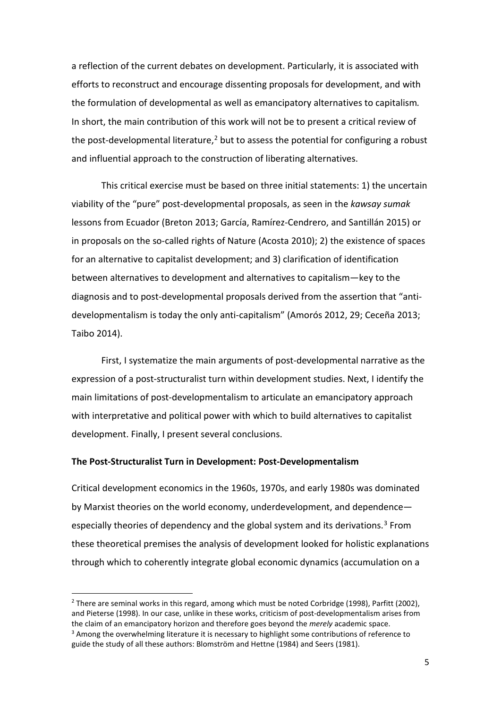a reflection of the current debates on development. Particularly, it is associated with efforts to reconstruct and encourage dissenting proposals for development, and with the formulation of developmental as well as emancipatory alternatives to capitalism*.*  In short, the main contribution of this work will not be to present a critical review of the post-developmental literature,<sup>[2](#page-4-0)</sup> but to assess the potential for configuring a robust and influential approach to the construction of liberating alternatives.

This critical exercise must be based on three initial statements: 1) the uncertain viability of the "pure" post-developmental proposals, as seen in the *kawsay sumak* lessons from Ecuador (Breton 2013; García, Ramírez-Cendrero, and Santillán 2015) or in proposals on the so-called rights of Nature (Acosta 2010); 2) the existence of spaces for an alternative to capitalist development; and 3) clarification of identification between alternatives to development and alternatives to capitalism—key to the diagnosis and to post-developmental proposals derived from the assertion that "antidevelopmentalism is today the only anti-capitalism" (Amorós 2012, 29; Ceceña 2013; Taibo 2014).

First, I systematize the main arguments of post-developmental narrative as the expression of a post-structuralist turn within development studies. Next, I identify the main limitations of post-developmentalism to articulate an emancipatory approach with interpretative and political power with which to build alternatives to capitalist development. Finally, I present several conclusions.

## **The Post-Structuralist Turn in Development: Post-Developmentalism**

Critical development economics in the 1960s, 1970s, and early 1980s was dominated by Marxist theories on the world economy, underdevelopment, and dependence especially theories of dependency and the global system and its derivations. [3](#page-4-1) From these theoretical premises the analysis of development looked for holistic explanations through which to coherently integrate global economic dynamics (accumulation on a

<span id="page-4-1"></span><span id="page-4-0"></span><sup>&</sup>lt;sup>2</sup> There are seminal works in this regard, among which must be noted Corbridge (1998), Parfitt (2002), and Pieterse (1998). In our case, unlike in these works, criticism of post-developmentalism arises from the claim of an emancipatory horizon and therefore goes beyond the *merely* academic space. <sup>3</sup> Among the overwhelming literature it is necessary to highlight some contributions of reference to guide the study of all these authors: Blomström and Hettne (1984) and Seers (1981).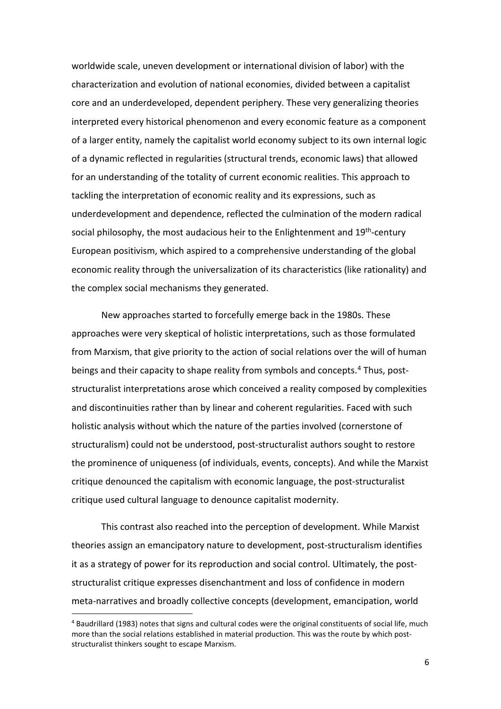worldwide scale, uneven development or international division of labor) with the characterization and evolution of national economies, divided between a capitalist core and an underdeveloped, dependent periphery. These very generalizing theories interpreted every historical phenomenon and every economic feature as a component of a larger entity, namely the capitalist world economy subject to its own internal logic of a dynamic reflected in regularities (structural trends, economic laws) that allowed for an understanding of the totality of current economic realities. This approach to tackling the interpretation of economic reality and its expressions, such as underdevelopment and dependence, reflected the culmination of the modern radical social philosophy, the most audacious heir to the Enlightenment and 19<sup>th</sup>-century European positivism, which aspired to a comprehensive understanding of the global economic reality through the universalization of its characteristics (like rationality) and the complex social mechanisms they generated.

New approaches started to forcefully emerge back in the 1980s. These approaches were very skeptical of holistic interpretations, such as those formulated from Marxism, that give priority to the action of social relations over the will of human beings and their capacity to shape reality from symbols and concepts.<sup>[4](#page-5-0)</sup> Thus, poststructuralist interpretations arose which conceived a reality composed by complexities and discontinuities rather than by linear and coherent regularities. Faced with such holistic analysis without which the nature of the parties involved (cornerstone of structuralism) could not be understood, post-structuralist authors sought to restore the prominence of uniqueness (of individuals, events, concepts). And while the Marxist critique denounced the capitalism with economic language, the post-structuralist critique used cultural language to denounce capitalist modernity.

This contrast also reached into the perception of development. While Marxist theories assign an emancipatory nature to development, post-structuralism identifies it as a strategy of power for its reproduction and social control. Ultimately, the poststructuralist critique expresses disenchantment and loss of confidence in modern meta-narratives and broadly collective concepts (development, emancipation, world

<span id="page-5-0"></span> <sup>4</sup> Baudrillard (1983) notes that signs and cultural codes were the original constituents of social life, much more than the social relations established in material production. This was the route by which poststructuralist thinkers sought to escape Marxism.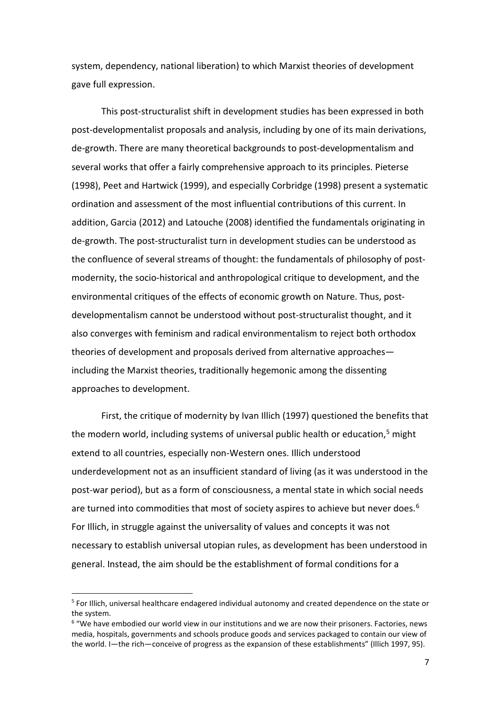system, dependency, national liberation) to which Marxist theories of development gave full expression.

This post-structuralist shift in development studies has been expressed in both post-developmentalist proposals and analysis, including by one of its main derivations, de-growth. There are many theoretical backgrounds to post-developmentalism and several works that offer a fairly comprehensive approach to its principles. Pieterse (1998), Peet and Hartwick (1999), and especially Corbridge (1998) present a systematic ordination and assessment of the most influential contributions of this current. In addition, Garcia (2012) and Latouche (2008) identified the fundamentals originating in de-growth. The post-structuralist turn in development studies can be understood as the confluence of several streams of thought: the fundamentals of philosophy of postmodernity, the socio-historical and anthropological critique to development, and the environmental critiques of the effects of economic growth on Nature. Thus, postdevelopmentalism cannot be understood without post-structuralist thought, and it also converges with feminism and radical environmentalism to reject both orthodox theories of development and proposals derived from alternative approaches including the Marxist theories, traditionally hegemonic among the dissenting approaches to development.

First, the critique of modernity by Ivan Illich (1997) questioned the benefits that the modern world, including systems of universal public health or education, [5](#page-6-0) might extend to all countries, especially non-Western ones. Illich understood underdevelopment not as an insufficient standard of living (as it was understood in the post-war period), but as a form of consciousness, a mental state in which social needs are turned into commodities that most of society aspires to achieve but never does.<sup>[6](#page-6-1)</sup> For Illich, in struggle against the universality of values and concepts it was not necessary to establish universal utopian rules, as development has been understood in general. Instead, the aim should be the establishment of formal conditions for a

<span id="page-6-0"></span><sup>&</sup>lt;sup>5</sup> For Illich, universal healthcare endagered individual autonomy and created dependence on the state or the system.

<span id="page-6-1"></span> $6$  "We have embodied our world view in our institutions and we are now their prisoners. Factories, news media, hospitals, governments and schools produce goods and services packaged to contain our view of the world. I—the rich—conceive of progress as the expansion of these establishments" (Illich 1997, 95).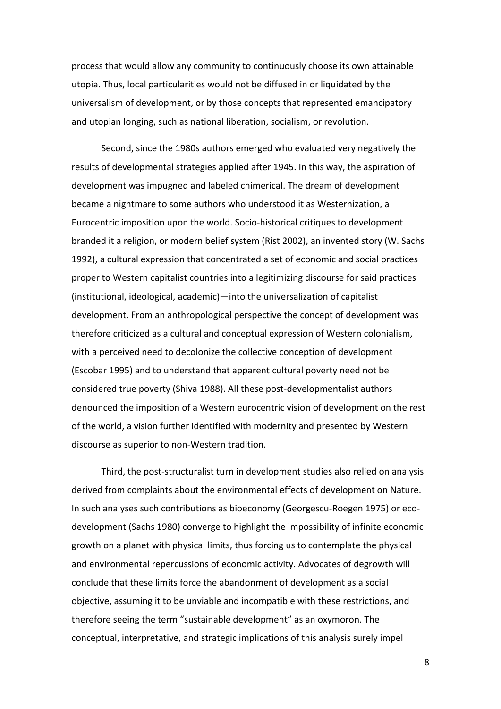process that would allow any community to continuously choose its own attainable utopia. Thus, local particularities would not be diffused in or liquidated by the universalism of development, or by those concepts that represented emancipatory and utopian longing, such as national liberation, socialism, or revolution.

Second, since the 1980s authors emerged who evaluated very negatively the results of developmental strategies applied after 1945. In this way, the aspiration of development was impugned and labeled chimerical. The dream of development became a nightmare to some authors who understood it as Westernization, a Eurocentric imposition upon the world. Socio-historical critiques to development branded it a religion, or modern belief system (Rist 2002), an invented story (W. Sachs 1992), a cultural expression that concentrated a set of economic and social practices proper to Western capitalist countries into a legitimizing discourse for said practices (institutional, ideological, academic)—into the universalization of capitalist development. From an anthropological perspective the concept of development was therefore criticized as a cultural and conceptual expression of Western colonialism, with a perceived need to decolonize the collective conception of development (Escobar 1995) and to understand that apparent cultural poverty need not be considered true poverty (Shiva 1988). All these post-developmentalist authors denounced the imposition of a Western eurocentric vision of development on the rest of the world, a vision further identified with modernity and presented by Western discourse as superior to non-Western tradition.

Third, the post-structuralist turn in development studies also relied on analysis derived from complaints about the environmental effects of development on Nature. In such analyses such contributions as bioeconomy (Georgescu-Roegen 1975) or ecodevelopment (Sachs 1980) converge to highlight the impossibility of infinite economic growth on a planet with physical limits, thus forcing us to contemplate the physical and environmental repercussions of economic activity. Advocates of degrowth will conclude that these limits force the abandonment of development as a social objective, assuming it to be unviable and incompatible with these restrictions, and therefore seeing the term "sustainable development" as an oxymoron. The conceptual, interpretative, and strategic implications of this analysis surely impel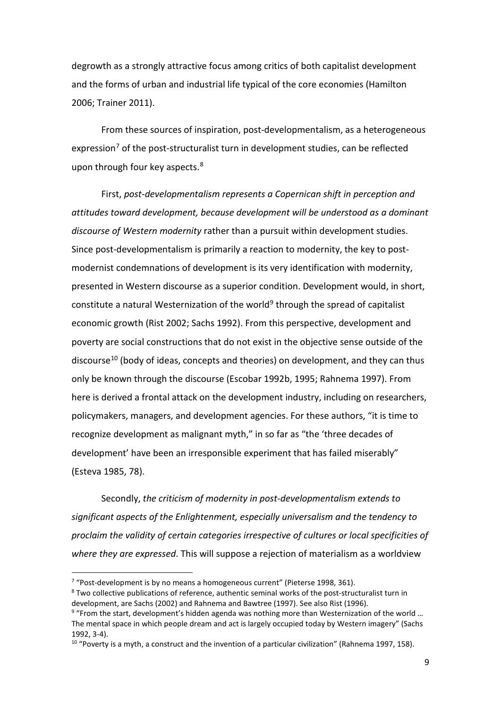degrowth as a strongly attractive focus among critics of both capitalist development and the forms of urban and industrial life typical of the core economies (Hamilton 2006; Trainer 2011).

From these sources of inspiration, post-developmentalism, as a heterogeneous expression<sup>[7](#page-8-0)</sup> of the post-structuralist turn in development studies, can be reflected upon through four key aspects.<sup>[8](#page-8-1)</sup>

First, *post-developmentalism represents a Copernican shift in perception and attitudes toward development, because development will be understood as a dominant discourse of Western modernity* rather than a pursuit within development studies. Since post-developmentalism is primarily a reaction to modernity, the key to postmodernist condemnations of development is its very identification with modernity, presented in Western discourse as a superior condition. Development would, in short, constitute a natural Westernization of the world<sup>[9](#page-8-2)</sup> through the spread of capitalist economic growth (Rist 2002; Sachs 1992). From this perspective, development and poverty are social constructions that do not exist in the objective sense outside of the discourse<sup>[10](#page-8-3)</sup> (body of ideas, concepts and theories) on development, and they can thus only be known through the discourse (Escobar 1992b, 1995; Rahnema 1997). From here is derived a frontal attack on the development industry, including on researchers, policymakers, managers, and development agencies. For these authors, "it is time to recognize development as malignant myth," in so far as "the 'three decades of development' have been an irresponsible experiment that has failed miserably" (Esteva 1985, 78).

Secondly, *the criticism of modernity in post-developmentalism extends to significant aspects of the Enlightenment, especially universalism and the tendency to proclaim the validity of certain categories irrespective of cultures or local specificities of where they are expressed*. This will suppose a rejection of materialism as a worldview

<span id="page-8-0"></span> <sup>7</sup> "Post-development is by no means a homogeneous current" (Pieterse 1998, 361).

<span id="page-8-1"></span><sup>&</sup>lt;sup>8</sup> Two collective publications of reference, authentic seminal works of the post-structuralist turn in development, are Sachs (2002) and Rahnema and Bawtree (1997). See also Rist (1996).

<span id="page-8-2"></span><sup>&</sup>lt;sup>9</sup> "From the start, development's hidden agenda was nothing more than Westernization of the world ... The mental space in which people dream and act is largely occupied today by Western imagery" (Sachs 1992, 3-4).

<span id="page-8-3"></span><sup>&</sup>lt;sup>10</sup> "Poverty is a myth, a construct and the invention of a particular civilization" (Rahnema 1997, 158).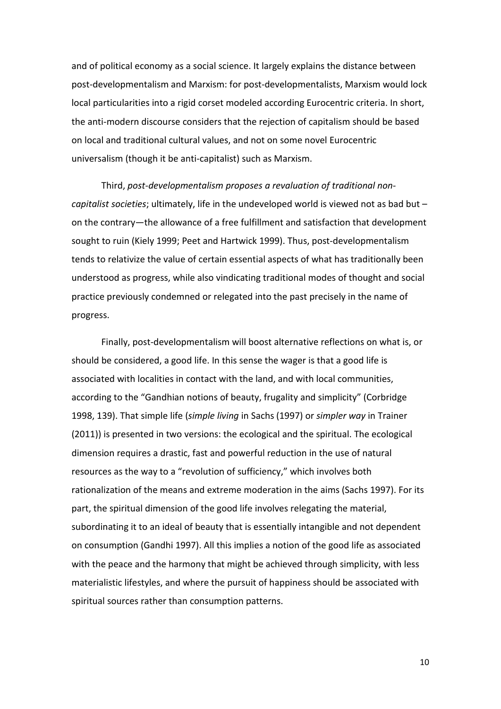and of political economy as a social science. It largely explains the distance between post-developmentalism and Marxism: for post-developmentalists, Marxism would lock local particularities into a rigid corset modeled according Eurocentric criteria. In short, the anti-modern discourse considers that the rejection of capitalism should be based on local and traditional cultural values, and not on some novel Eurocentric universalism (though it be anti-capitalist) such as Marxism.

Third, *post-developmentalism proposes a revaluation of traditional noncapitalist societies*; ultimately, life in the undeveloped world is viewed not as bad but – on the contrary—the allowance of a free fulfillment and satisfaction that development sought to ruin (Kiely 1999; Peet and Hartwick 1999). Thus, post-developmentalism tends to relativize the value of certain essential aspects of what has traditionally been understood as progress, while also vindicating traditional modes of thought and social practice previously condemned or relegated into the past precisely in the name of progress.

Finally, post-developmentalism will boost alternative reflections on what is, or should be considered, a good life. In this sense the wager is that a good life is associated with localities in contact with the land, and with local communities, according to the "Gandhian notions of beauty, frugality and simplicity" (Corbridge 1998, 139). That simple life (*simple living* in Sachs (1997) or *simpler way* in Trainer (2011)) is presented in two versions: the ecological and the spiritual. The ecological dimension requires a drastic, fast and powerful reduction in the use of natural resources as the way to a "revolution of sufficiency," which involves both rationalization of the means and extreme moderation in the aims (Sachs 1997). For its part, the spiritual dimension of the good life involves relegating the material, subordinating it to an ideal of beauty that is essentially intangible and not dependent on consumption (Gandhi 1997). All this implies a notion of the good life as associated with the peace and the harmony that might be achieved through simplicity, with less materialistic lifestyles, and where the pursuit of happiness should be associated with spiritual sources rather than consumption patterns.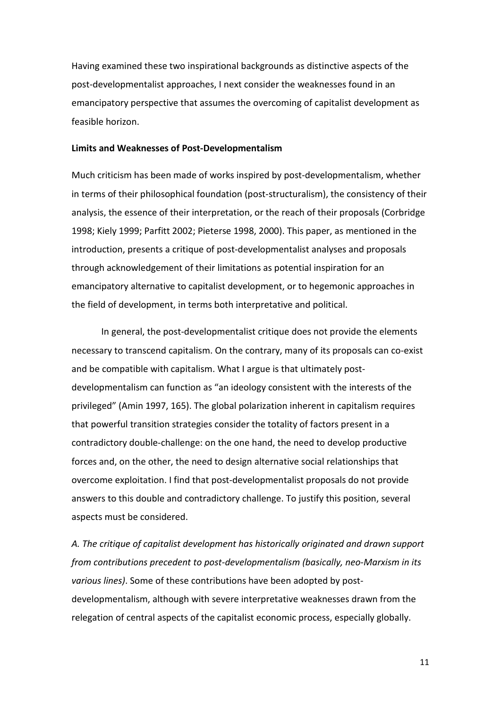Having examined these two inspirational backgrounds as distinctive aspects of the post-developmentalist approaches, I next consider the weaknesses found in an emancipatory perspective that assumes the overcoming of capitalist development as feasible horizon.

### **Limits and Weaknesses of Post-Developmentalism**

Much criticism has been made of works inspired by post-developmentalism, whether in terms of their philosophical foundation (post-structuralism), the consistency of their analysis, the essence of their interpretation, or the reach of their proposals (Corbridge 1998; Kiely 1999; Parfitt 2002; Pieterse 1998, 2000). This paper, as mentioned in the introduction, presents a critique of post-developmentalist analyses and proposals through acknowledgement of their limitations as potential inspiration for an emancipatory alternative to capitalist development, or to hegemonic approaches in the field of development, in terms both interpretative and political.

In general, the post-developmentalist critique does not provide the elements necessary to transcend capitalism. On the contrary, many of its proposals can co-exist and be compatible with capitalism. What I argue is that ultimately postdevelopmentalism can function as "an ideology consistent with the interests of the privileged" (Amin 1997, 165). The global polarization inherent in capitalism requires that powerful transition strategies consider the totality of factors present in a contradictory double-challenge: on the one hand, the need to develop productive forces and, on the other, the need to design alternative social relationships that overcome exploitation. I find that post-developmentalist proposals do not provide answers to this double and contradictory challenge. To justify this position, several aspects must be considered.

*A. The critique of capitalist development has historically originated and drawn support from contributions precedent to post-developmentalism (basically, neo-Marxism in its various lines)*. Some of these contributions have been adopted by postdevelopmentalism, although with severe interpretative weaknesses drawn from the relegation of central aspects of the capitalist economic process, especially globally.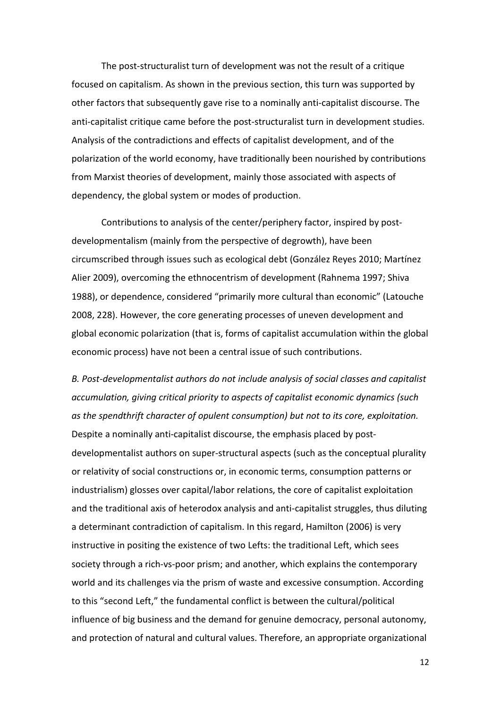The post-structuralist turn of development was not the result of a critique focused on capitalism. As shown in the previous section, this turn was supported by other factors that subsequently gave rise to a nominally anti-capitalist discourse. The anti-capitalist critique came before the post-structuralist turn in development studies. Analysis of the contradictions and effects of capitalist development, and of the polarization of the world economy, have traditionally been nourished by contributions from Marxist theories of development, mainly those associated with aspects of dependency, the global system or modes of production.

Contributions to analysis of the center/periphery factor, inspired by postdevelopmentalism (mainly from the perspective of degrowth), have been circumscribed through issues such as ecological debt (González Reyes 2010; Martínez Alier 2009), overcoming the ethnocentrism of development (Rahnema 1997; Shiva 1988), or dependence, considered "primarily more cultural than economic" (Latouche 2008, 228). However, the core generating processes of uneven development and global economic polarization (that is, forms of capitalist accumulation within the global economic process) have not been a central issue of such contributions.

*B. Post-developmentalist authors do not include analysis of social classes and capitalist accumulation, giving critical priority to aspects of capitalist economic dynamics (such as the spendthrift character of opulent consumption) but not to its core, exploitation.* Despite a nominally anti-capitalist discourse, the emphasis placed by postdevelopmentalist authors on super-structural aspects (such as the conceptual plurality or relativity of social constructions or, in economic terms, consumption patterns or industrialism) glosses over capital/labor relations, the core of capitalist exploitation and the traditional axis of heterodox analysis and anti-capitalist struggles, thus diluting a determinant contradiction of capitalism. In this regard, Hamilton (2006) is very instructive in positing the existence of two Lefts: the traditional Left, which sees society through a rich-vs-poor prism; and another, which explains the contemporary world and its challenges via the prism of waste and excessive consumption. According to this "second Left," the fundamental conflict is between the cultural/political influence of big business and the demand for genuine democracy, personal autonomy, and protection of natural and cultural values. Therefore, an appropriate organizational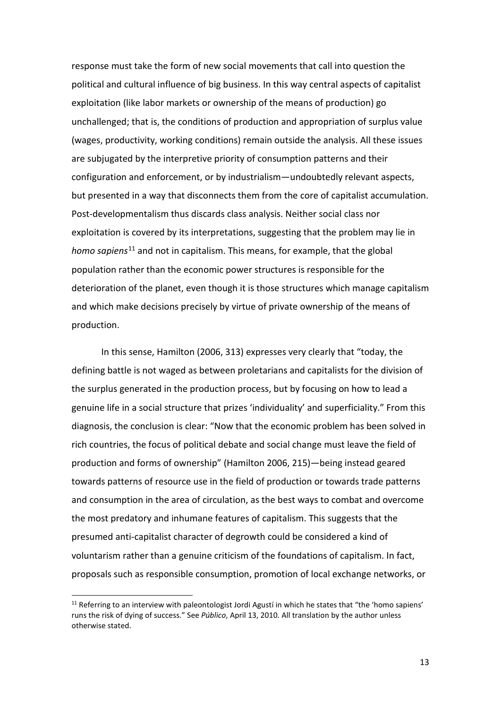response must take the form of new social movements that call into question the political and cultural influence of big business. In this way central aspects of capitalist exploitation (like labor markets or ownership of the means of production) go unchallenged; that is, the conditions of production and appropriation of surplus value (wages, productivity, working conditions) remain outside the analysis. All these issues are subjugated by the interpretive priority of consumption patterns and their configuration and enforcement, or by industrialism—undoubtedly relevant aspects, but presented in a way that disconnects them from the core of capitalist accumulation. Post-developmentalism thus discards class analysis. Neither social class nor exploitation is covered by its interpretations, suggesting that the problem may lie in *homo sapiens*[11](#page-12-0) and not in capitalism. This means, for example, that the global population rather than the economic power structures is responsible for the deterioration of the planet, even though it is those structures which manage capitalism and which make decisions precisely by virtue of private ownership of the means of production.

In this sense, Hamilton (2006, 313) expresses very clearly that "today, the defining battle is not waged as between proletarians and capitalists for the division of the surplus generated in the production process, but by focusing on how to lead a genuine life in a social structure that prizes 'individuality' and superficiality." From this diagnosis, the conclusion is clear: "Now that the economic problem has been solved in rich countries, the focus of political debate and social change must leave the field of production and forms of ownership" (Hamilton 2006, 215)—being instead geared towards patterns of resource use in the field of production or towards trade patterns and consumption in the area of circulation, as the best ways to combat and overcome the most predatory and inhumane features of capitalism. This suggests that the presumed anti-capitalist character of degrowth could be considered a kind of voluntarism rather than a genuine criticism of the foundations of capitalism. In fact, proposals such as responsible consumption, promotion of local exchange networks, or

<span id="page-12-0"></span> $11$  Referring to an interview with paleontologist Jordi Agustí in which he states that "the 'homo sapiens' runs the risk of dying of success." See *Público*, April 13, 2010. All translation by the author unless otherwise stated.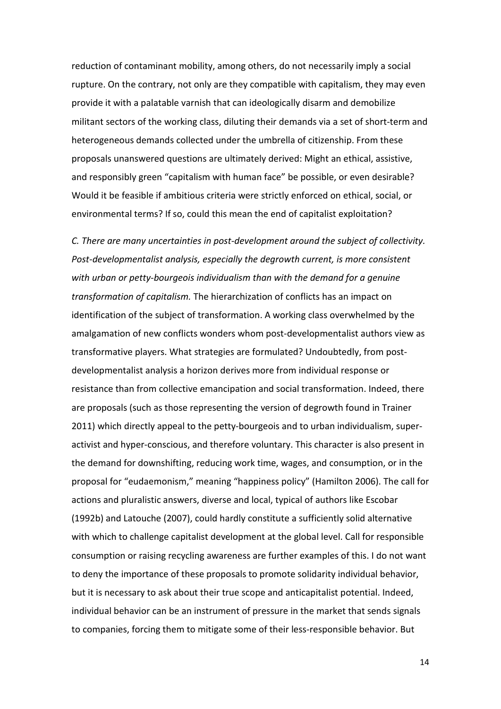reduction of contaminant mobility, among others, do not necessarily imply a social rupture. On the contrary, not only are they compatible with capitalism, they may even provide it with a palatable varnish that can ideologically disarm and demobilize militant sectors of the working class, diluting their demands via a set of short-term and heterogeneous demands collected under the umbrella of citizenship. From these proposals unanswered questions are ultimately derived: Might an ethical, assistive, and responsibly green "capitalism with human face" be possible, or even desirable? Would it be feasible if ambitious criteria were strictly enforced on ethical, social, or environmental terms? If so, could this mean the end of capitalist exploitation?

*C. There are many uncertainties in post-development around the subject of collectivity. Post-developmentalist analysis, especially the degrowth current, is more consistent with urban or petty-bourgeois individualism than with the demand for a genuine transformation of capitalism.* The hierarchization of conflicts has an impact on identification of the subject of transformation. A working class overwhelmed by the amalgamation of new conflicts wonders whom post-developmentalist authors view as transformative players. What strategies are formulated? Undoubtedly, from postdevelopmentalist analysis a horizon derives more from individual response or resistance than from collective emancipation and social transformation. Indeed, there are proposals (such as those representing the version of degrowth found in Trainer 2011) which directly appeal to the petty-bourgeois and to urban individualism, superactivist and hyper-conscious, and therefore voluntary. This character is also present in the demand for downshifting, reducing work time, wages, and consumption, or in the proposal for "eudaemonism," meaning "happiness policy" (Hamilton 2006). The call for actions and pluralistic answers, diverse and local, typical of authors like Escobar (1992b) and Latouche (2007), could hardly constitute a sufficiently solid alternative with which to challenge capitalist development at the global level. Call for responsible consumption or raising recycling awareness are further examples of this. I do not want to deny the importance of these proposals to promote solidarity individual behavior, but it is necessary to ask about their true scope and anticapitalist potential. Indeed, individual behavior can be an instrument of pressure in the market that sends signals to companies, forcing them to mitigate some of their less-responsible behavior. But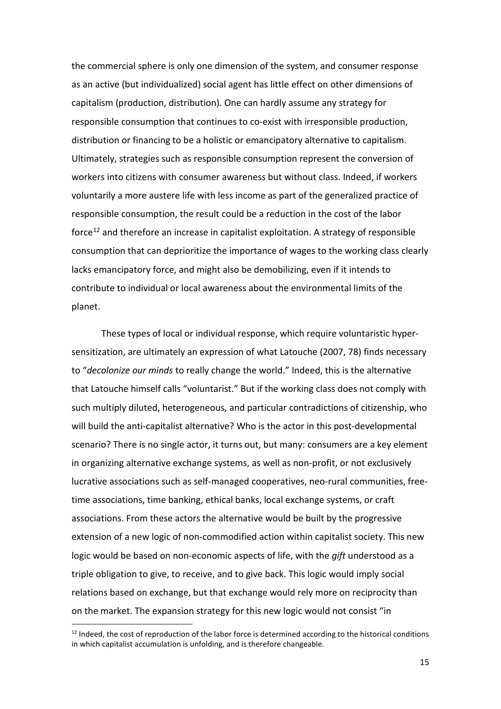the commercial sphere is only one dimension of the system, and consumer response as an active (but individualized) social agent has little effect on other dimensions of capitalism (production, distribution). One can hardly assume any strategy for responsible consumption that continues to co-exist with irresponsible production, distribution or financing to be a holistic or emancipatory alternative to capitalism. Ultimately, strategies such as responsible consumption represent the conversion of workers into citizens with consumer awareness but without class. Indeed, if workers voluntarily a more austere life with less income as part of the generalized practice of responsible consumption, the result could be a reduction in the cost of the labor force<sup>[12](#page-14-0)</sup> and therefore an increase in capitalist exploitation. A strategy of responsible consumption that can deprioritize the importance of wages to the working class clearly lacks emancipatory force, and might also be demobilizing, even if it intends to contribute to individual or local awareness about the environmental limits of the planet.

These types of local or individual response, which require voluntaristic hypersensitization, are ultimately an expression of what Latouche (2007, 78) finds necessary to "*decolonize our minds* to really change the world." Indeed, this is the alternative that Latouche himself calls "voluntarist." But if the working class does not comply with such multiply diluted, heterogeneous, and particular contradictions of citizenship, who will build the anti-capitalist alternative? Who is the actor in this post-developmental scenario? There is no single actor, it turns out, but many: consumers are a key element in organizing alternative exchange systems, as well as non-profit, or not exclusively lucrative associations such as self-managed cooperatives, neo-rural communities, freetime associations, time banking, ethical banks, local exchange systems, or craft associations. From these actors the alternative would be built by the progressive extension of a new logic of non-commodified action within capitalist society. This new logic would be based on non-economic aspects of life, with the *gift* understood as a triple obligation to give, to receive, and to give back. This logic would imply social relations based on exchange, but that exchange would rely more on reciprocity than on the market. The expansion strategy for this new logic would not consist "in

<span id="page-14-0"></span> $12$  Indeed, the cost of reproduction of the labor force is determined according to the historical conditions in which capitalist accumulation is unfolding, and is therefore changeable.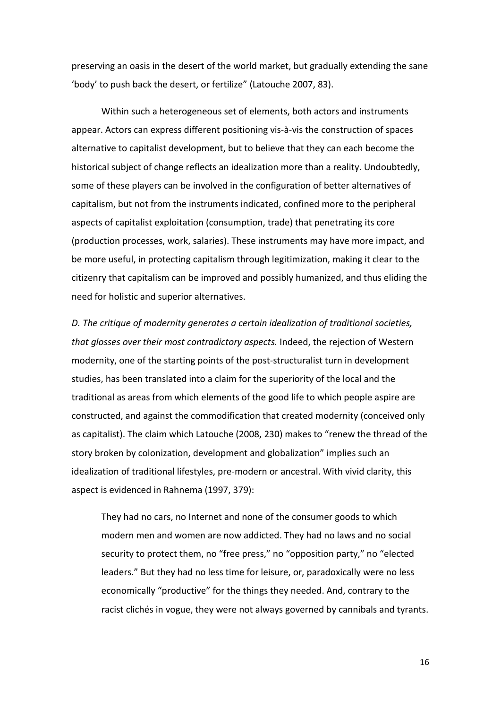preserving an oasis in the desert of the world market, but gradually extending the sane 'body' to push back the desert, or fertilize" (Latouche 2007, 83).

Within such a heterogeneous set of elements, both actors and instruments appear. Actors can express different positioning vis-à-vis the construction of spaces alternative to capitalist development, but to believe that they can each become the historical subject of change reflects an idealization more than a reality. Undoubtedly, some of these players can be involved in the configuration of better alternatives of capitalism, but not from the instruments indicated, confined more to the peripheral aspects of capitalist exploitation (consumption, trade) that penetrating its core (production processes, work, salaries). These instruments may have more impact, and be more useful, in protecting capitalism through legitimization, making it clear to the citizenry that capitalism can be improved and possibly humanized, and thus eliding the need for holistic and superior alternatives.

*D. The critique of modernity generates a certain idealization of traditional societies, that glosses over their most contradictory aspects.* Indeed, the rejection of Western modernity, one of the starting points of the post-structuralist turn in development studies, has been translated into a claim for the superiority of the local and the traditional as areas from which elements of the good life to which people aspire are constructed, and against the commodification that created modernity (conceived only as capitalist). The claim which Latouche (2008, 230) makes to "renew the thread of the story broken by colonization, development and globalization" implies such an idealization of traditional lifestyles, pre-modern or ancestral. With vivid clarity, this aspect is evidenced in Rahnema (1997, 379):

They had no cars, no Internet and none of the consumer goods to which modern men and women are now addicted. They had no laws and no social security to protect them, no "free press," no "opposition party," no "elected leaders." But they had no less time for leisure, or, paradoxically were no less economically "productive" for the things they needed. And, contrary to the racist clichés in vogue, they were not always governed by cannibals and tyrants.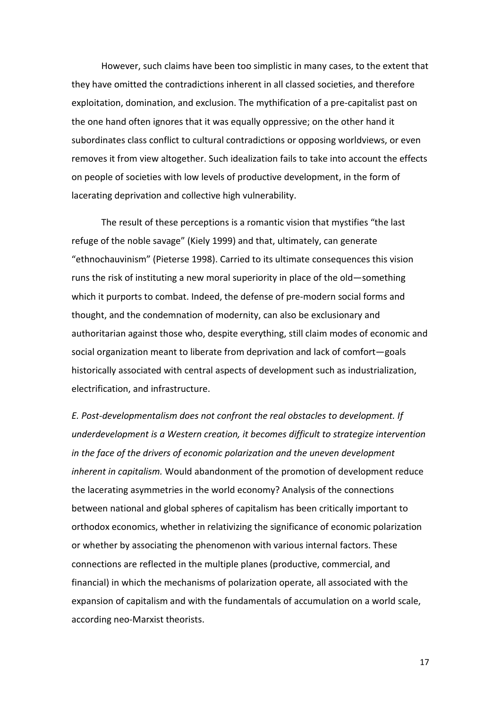However, such claims have been too simplistic in many cases, to the extent that they have omitted the contradictions inherent in all classed societies, and therefore exploitation, domination, and exclusion. The mythification of a pre-capitalist past on the one hand often ignores that it was equally oppressive; on the other hand it subordinates class conflict to cultural contradictions or opposing worldviews, or even removes it from view altogether. Such idealization fails to take into account the effects on people of societies with low levels of productive development, in the form of lacerating deprivation and collective high vulnerability.

The result of these perceptions is a romantic vision that mystifies "the last refuge of the noble savage" (Kiely 1999) and that, ultimately, can generate "ethnochauvinism" (Pieterse 1998). Carried to its ultimate consequences this vision runs the risk of instituting a new moral superiority in place of the old—something which it purports to combat. Indeed, the defense of pre-modern social forms and thought, and the condemnation of modernity, can also be exclusionary and authoritarian against those who, despite everything, still claim modes of economic and social organization meant to liberate from deprivation and lack of comfort—goals historically associated with central aspects of development such as industrialization, electrification, and infrastructure.

*E. Post-developmentalism does not confront the real obstacles to development. If underdevelopment is a Western creation, it becomes difficult to strategize intervention in the face of the drivers of economic polarization and the uneven development inherent in capitalism.* Would abandonment of the promotion of development reduce the lacerating asymmetries in the world economy? Analysis of the connections between national and global spheres of capitalism has been critically important to orthodox economics, whether in relativizing the significance of economic polarization or whether by associating the phenomenon with various internal factors. These connections are reflected in the multiple planes (productive, commercial, and financial) in which the mechanisms of polarization operate, all associated with the expansion of capitalism and with the fundamentals of accumulation on a world scale, according neo-Marxist theorists.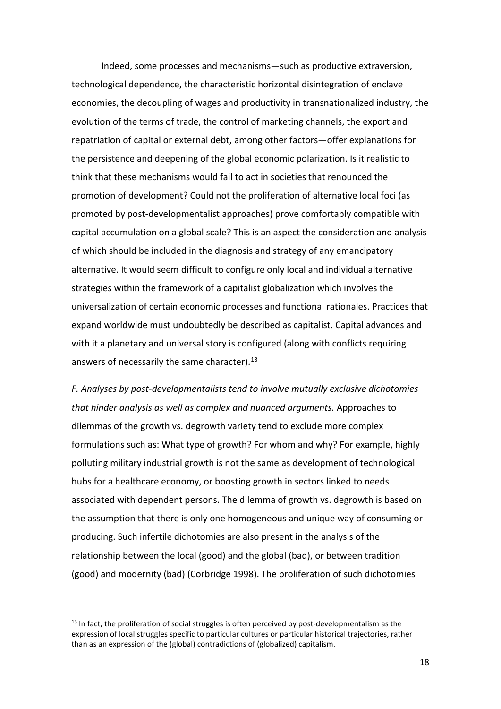Indeed, some processes and mechanisms—such as productive extraversion, technological dependence, the characteristic horizontal disintegration of enclave economies, the decoupling of wages and productivity in transnationalized industry, the evolution of the terms of trade, the control of marketing channels, the export and repatriation of capital or external debt, among other factors—offer explanations for the persistence and deepening of the global economic polarization. Is it realistic to think that these mechanisms would fail to act in societies that renounced the promotion of development? Could not the proliferation of alternative local foci (as promoted by post-developmentalist approaches) prove comfortably compatible with capital accumulation on a global scale? This is an aspect the consideration and analysis of which should be included in the diagnosis and strategy of any emancipatory alternative. It would seem difficult to configure only local and individual alternative strategies within the framework of a capitalist globalization which involves the universalization of certain economic processes and functional rationales. Practices that expand worldwide must undoubtedly be described as capitalist. Capital advances and with it a planetary and universal story is configured (along with conflicts requiring answers of necessarily the same character).<sup>[13](#page-17-0)</sup>

*F. Analyses by post-developmentalists tend to involve mutually exclusive dichotomies that hinder analysis as well as complex and nuanced arguments.* Approaches to dilemmas of the growth vs. degrowth variety tend to exclude more complex formulations such as: What type of growth? For whom and why? For example, highly polluting military industrial growth is not the same as development of technological hubs for a healthcare economy, or boosting growth in sectors linked to needs associated with dependent persons. The dilemma of growth vs. degrowth is based on the assumption that there is only one homogeneous and unique way of consuming or producing. Such infertile dichotomies are also present in the analysis of the relationship between the local (good) and the global (bad), or between tradition (good) and modernity (bad) (Corbridge 1998). The proliferation of such dichotomies

<span id="page-17-0"></span> $13$  In fact, the proliferation of social struggles is often perceived by post-developmentalism as the expression of local struggles specific to particular cultures or particular historical trajectories, rather than as an expression of the (global) contradictions of (globalized) capitalism.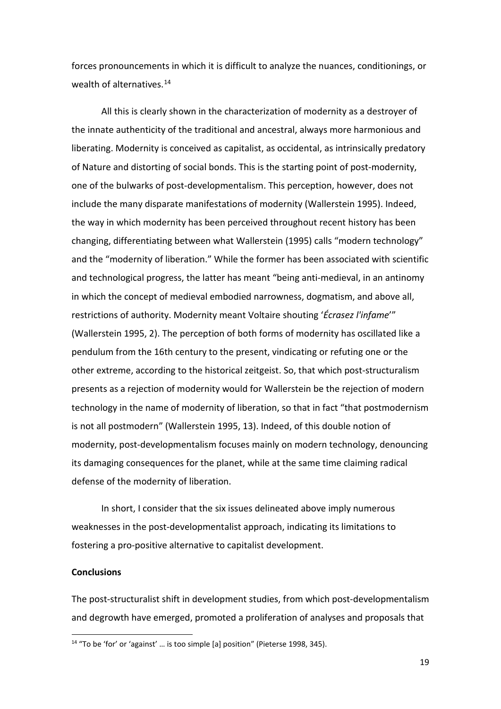forces pronouncements in which it is difficult to analyze the nuances, conditionings, or wealth of alternatives.<sup>[14](#page-18-0)</sup>

All this is clearly shown in the characterization of modernity as a destroyer of the innate authenticity of the traditional and ancestral, always more harmonious and liberating. Modernity is conceived as capitalist, as occidental, as intrinsically predatory of Nature and distorting of social bonds. This is the starting point of post-modernity, one of the bulwarks of post-developmentalism. This perception, however, does not include the many disparate manifestations of modernity (Wallerstein 1995). Indeed, the way in which modernity has been perceived throughout recent history has been changing, differentiating between what Wallerstein (1995) calls "modern technology" and the "modernity of liberation." While the former has been associated with scientific and technological progress, the latter has meant "being anti-medieval, in an antinomy in which the concept of medieval embodied narrowness, dogmatism, and above all, restrictions of authority. Modernity meant Voltaire shouting '*Écrasez l'infame*'" (Wallerstein 1995, 2). The perception of both forms of modernity has oscillated like a pendulum from the 16th century to the present, vindicating or refuting one or the other extreme, according to the historical zeitgeist. So, that which post-structuralism presents as a rejection of modernity would for Wallerstein be the rejection of modern technology in the name of modernity of liberation, so that in fact "that postmodernism is not all postmodern" (Wallerstein 1995, 13). Indeed, of this double notion of modernity, post-developmentalism focuses mainly on modern technology, denouncing its damaging consequences for the planet, while at the same time claiming radical defense of the modernity of liberation.

In short, I consider that the six issues delineated above imply numerous weaknesses in the post-developmentalist approach, indicating its limitations to fostering a pro-positive alternative to capitalist development.

# **Conclusions**

The post-structuralist shift in development studies, from which post-developmentalism and degrowth have emerged, promoted a proliferation of analyses and proposals that

<span id="page-18-0"></span><sup>&</sup>lt;sup>14</sup> "To be 'for' or 'against' ... is too simple [a] position" (Pieterse 1998, 345).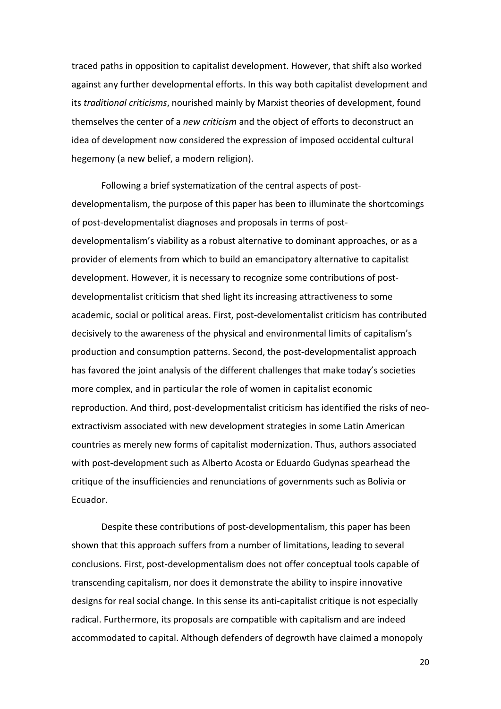traced paths in opposition to capitalist development. However, that shift also worked against any further developmental efforts. In this way both capitalist development and its *traditional criticisms*, nourished mainly by Marxist theories of development, found themselves the center of a *new criticism* and the object of efforts to deconstruct an idea of development now considered the expression of imposed occidental cultural hegemony (a new belief, a modern religion).

Following a brief systematization of the central aspects of postdevelopmentalism, the purpose of this paper has been to illuminate the shortcomings of post-developmentalist diagnoses and proposals in terms of postdevelopmentalism's viability as a robust alternative to dominant approaches, or as a provider of elements from which to build an emancipatory alternative to capitalist development. However, it is necessary to recognize some contributions of postdevelopmentalist criticism that shed light its increasing attractiveness to some academic, social or political areas. First, post-develomentalist criticism has contributed decisively to the awareness of the physical and environmental limits of capitalism's production and consumption patterns. Second, the post-developmentalist approach has favored the joint analysis of the different challenges that make today's societies more complex, and in particular the role of women in capitalist economic reproduction. And third, post-developmentalist criticism has identified the risks of neoextractivism associated with new development strategies in some Latin American countries as merely new forms of capitalist modernization. Thus, authors associated with post-development such as Alberto Acosta or Eduardo Gudynas spearhead the critique of the insufficiencies and renunciations of governments such as Bolivia or Ecuador.

Despite these contributions of post-developmentalism, this paper has been shown that this approach suffers from a number of limitations, leading to several conclusions. First, post-developmentalism does not offer conceptual tools capable of transcending capitalism, nor does it demonstrate the ability to inspire innovative designs for real social change. In this sense its anti-capitalist critique is not especially radical. Furthermore, its proposals are compatible with capitalism and are indeed accommodated to capital. Although defenders of degrowth have claimed a monopoly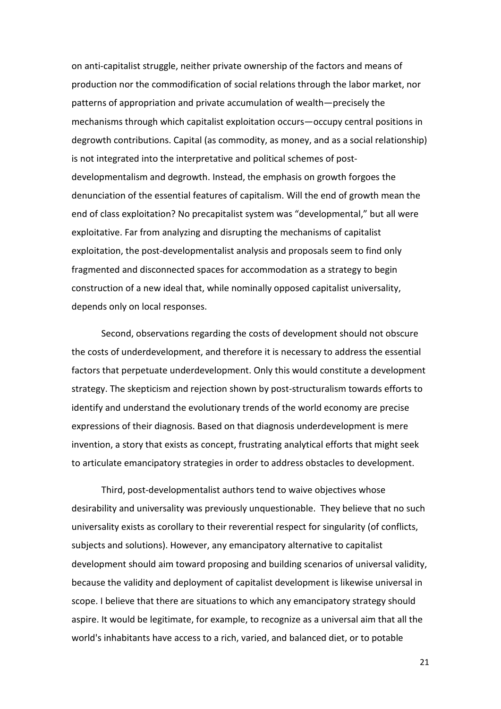on anti-capitalist struggle, neither private ownership of the factors and means of production nor the commodification of social relations through the labor market, nor patterns of appropriation and private accumulation of wealth—precisely the mechanisms through which capitalist exploitation occurs—occupy central positions in degrowth contributions. Capital (as commodity, as money, and as a social relationship) is not integrated into the interpretative and political schemes of postdevelopmentalism and degrowth. Instead, the emphasis on growth forgoes the denunciation of the essential features of capitalism. Will the end of growth mean the end of class exploitation? No precapitalist system was "developmental," but all were exploitative. Far from analyzing and disrupting the mechanisms of capitalist exploitation, the post-developmentalist analysis and proposals seem to find only fragmented and disconnected spaces for accommodation as a strategy to begin construction of a new ideal that, while nominally opposed capitalist universality, depends only on local responses.

Second, observations regarding the costs of development should not obscure the costs of underdevelopment, and therefore it is necessary to address the essential factors that perpetuate underdevelopment. Only this would constitute a development strategy. The skepticism and rejection shown by post-structuralism towards efforts to identify and understand the evolutionary trends of the world economy are precise expressions of their diagnosis. Based on that diagnosis underdevelopment is mere invention, a story that exists as concept, frustrating analytical efforts that might seek to articulate emancipatory strategies in order to address obstacles to development.

Third, post-developmentalist authors tend to waive objectives whose desirability and universality was previously unquestionable. They believe that no such universality exists as corollary to their reverential respect for singularity (of conflicts, subjects and solutions). However, any emancipatory alternative to capitalist development should aim toward proposing and building scenarios of universal validity, because the validity and deployment of capitalist development is likewise universal in scope. I believe that there are situations to which any emancipatory strategy should aspire. It would be legitimate, for example, to recognize as a universal aim that all the world's inhabitants have access to a rich, varied, and balanced diet, or to potable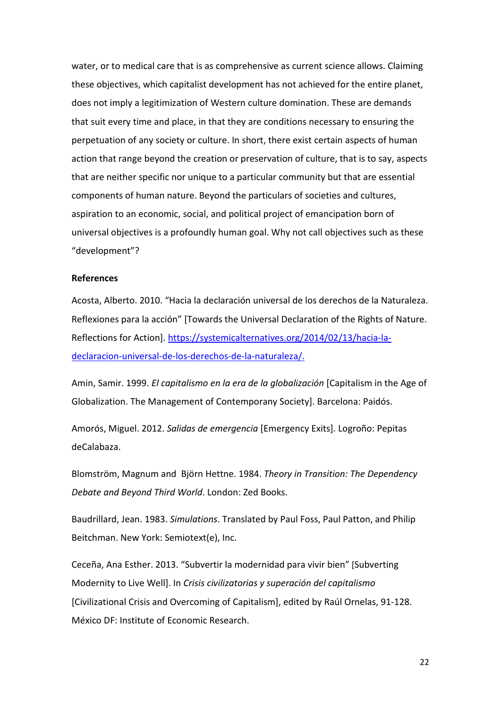water, or to medical care that is as comprehensive as current science allows. Claiming these objectives, which capitalist development has not achieved for the entire planet, does not imply a legitimization of Western culture domination. These are demands that suit every time and place, in that they are conditions necessary to ensuring the perpetuation of any society or culture. In short, there exist certain aspects of human action that range beyond the creation or preservation of culture, that is to say, aspects that are neither specific nor unique to a particular community but that are essential components of human nature. Beyond the particulars of societies and cultures, aspiration to an economic, social, and political project of emancipation born of universal objectives is a profoundly human goal. Why not call objectives such as these "development"?

## **References**

Acosta, Alberto. 2010. "Hacia la declaración universal de los derechos de la Naturaleza. Reflexiones para la acción" [Towards the Universal Declaration of the Rights of Nature. Reflections for Action]. [https://systemicalternatives.org/2014/02/13/hacia-la](https://systemicalternatives.org/2014/02/13/hacia-la-declaracion-universal-de-los-derechos-de-la-naturaleza/)[declaracion-universal-de-los-derechos-de-la-naturaleza/.](https://systemicalternatives.org/2014/02/13/hacia-la-declaracion-universal-de-los-derechos-de-la-naturaleza/)

Amin, Samir. 1999. *El capitalismo en la era de la globalización* [Capitalism in the Age of Globalization. The Management of Contemporany Society]. Barcelona: Paidós.

Amorós, Miguel. 2012. *Salidas de emergencia* [Emergency Exits]. Logroño: Pepitas deCalabaza.

Blomström, Magnum and Björn Hettne. 1984. *Theory in Transition: The Dependency Debate and Beyond Third World*. London: Zed Books.

Baudrillard, Jean. 1983. *Simulations*. Translated by Paul Foss, Paul Patton, and Philip Beitchman. New York: Semiotext(e), Inc.

Ceceña, Ana Esther. 2013. "Subvertir la modernidad para vivir bien" [Subverting Modernity to Live Well]. In *Crisis civilizatorias y superación del capitalismo* [Civilizational Crisis and Overcoming of Capitalism], edited by Raúl Ornelas, 91-128. México DF: Institute of Economic Research.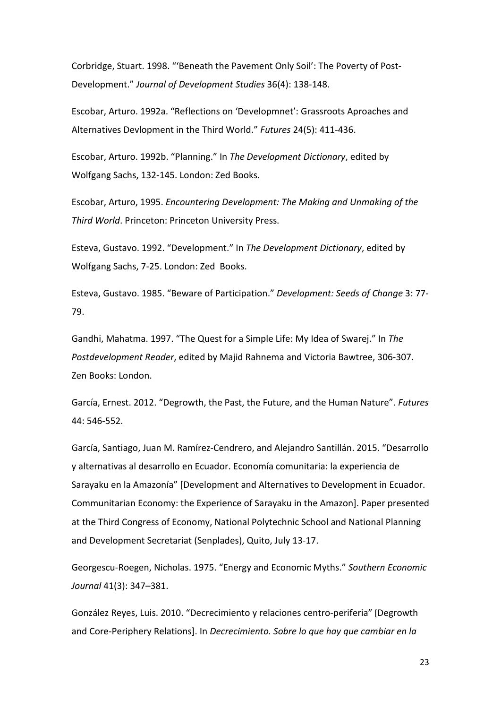Corbridge, Stuart. 1998. "'Beneath the Pavement Only Soil': The Poverty of Post-Development." *Journal of Development Studies* 36(4): 138-148.

Escobar, Arturo. 1992a. "Reflections on 'Developmnet': Grassroots Aproaches and Alternatives Devlopment in the Third World." *Futures* 24(5): 411-436.

Escobar, Arturo. 1992b. "Planning." In *The Development Dictionary*, edited by Wolfgang Sachs, 132-145. London: Zed Books.

Escobar, Arturo, 1995. *Encountering Development: The Making and Unmaking of the Third World*. Princeton: Princeton University Press.

Esteva, Gustavo. 1992. "Development." In *The Development Dictionary*, edited by Wolfgang Sachs, 7-25. London: Zed Books.

Esteva, Gustavo. 1985. "Beware of Participation." *Development: Seeds of Change* 3: 77- 79.

Gandhi, Mahatma. 1997. "The Quest for a Simple Life: My Idea of Swarej." In *The Postdevelopment Reader*, edited by Majid Rahnema and Victoria Bawtree, 306-307. Zen Books: London.

García, Ernest. 2012. "Degrowth, the Past, the Future, and the Human Nature". *Futures* 44: 546-552.

García, Santiago, Juan M. Ramírez-Cendrero, and Alejandro Santillán. 2015. "Desarrollo y alternativas al desarrollo en Ecuador. Economía comunitaria: la experiencia de Sarayaku en la Amazonía" [Development and Alternatives to Development in Ecuador. Communitarian Economy: the Experience of Sarayaku in the Amazon]. Paper presented at the Third Congress of Economy, National Polytechnic School and National Planning and Development Secretariat (Senplades), Quito, July 13-17.

Georgescu-Roegen, Nicholas. 1975. "Energy and Economic Myths." *Southern Economic Journal* 41(3): 347–381.

González Reyes, Luis. 2010. "Decrecimiento y relaciones centro-periferia" [Degrowth and Core-Periphery Relations]. In *Decrecimiento. Sobre lo que hay que cambiar en la*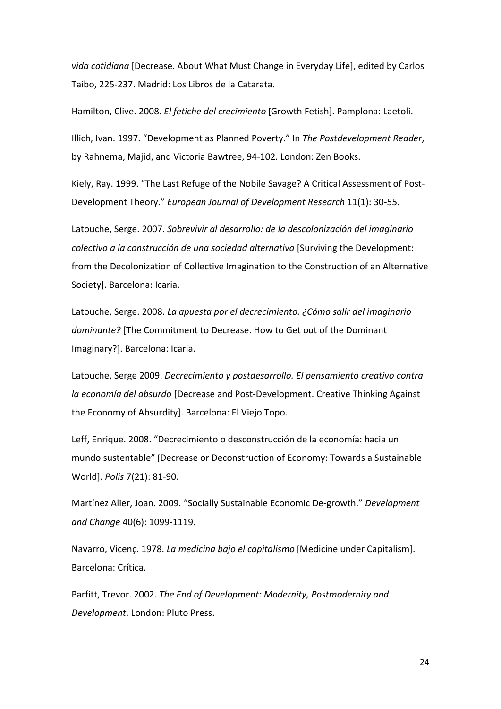*vida cotidiana* [Decrease. About What Must Change in Everyday Life], edited by Carlos Taibo, 225-237. Madrid: Los Libros de la Catarata.

Hamilton, Clive. 2008. *El fetiche del crecimiento* [Growth Fetish]. Pamplona: Laetoli.

Illich, Ivan. 1997. "Development as Planned Poverty." In *The Postdevelopment Reader*, by Rahnema, Majid, and Victoria Bawtree, 94-102. London: Zen Books.

Kiely, Ray. 1999. "The Last Refuge of the Nobile Savage? A Critical Assessment of Post-Development Theory." *European Journal of Development Research* 11(1): 30-55.

Latouche, Serge. 2007. *Sobrevivir al desarrollo: de la descolonización del imaginario colectivo a la construcción de una sociedad alternativa* [Surviving the Development: from the Decolonization of Collective Imagination to the Construction of an Alternative Society]. Barcelona: Icaria.

Latouche, Serge. 2008. *La apuesta por el decrecimiento. ¿Cómo salir del imaginario dominante?* [The Commitment to Decrease. How to Get out of the Dominant Imaginary?]. Barcelona: Icaria.

Latouche, Serge 2009. *Decrecimiento y postdesarrollo. El pensamiento creativo contra la economía del absurdo* [Decrease and Post-Development. Creative Thinking Against the Economy of Absurdity]. Barcelona: El Viejo Topo.

Leff, Enrique. 2008. "Decrecimiento o desconstrucción de la economía: hacia un mundo sustentable" [Decrease or Deconstruction of Economy: Towards a Sustainable World]. *Polis* 7(21): 81-90.

Martínez Alier, Joan. 2009. "Socially Sustainable Economic De-growth." *Development and Change* 40(6): 1099-1119.

Navarro, Vicenç. 1978. *La medicina bajo el capitalismo* [Medicine under Capitalism]. Barcelona: Crítica.

Parfitt, Trevor. 2002. *The End of Development: Modernity, Postmodernity and Development*. London: Pluto Press.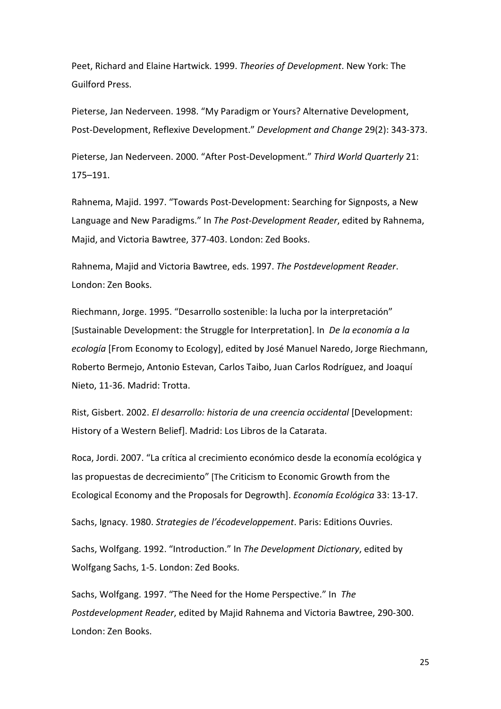Peet, Richard and Elaine Hartwick. 1999. *Theories of Development*. New York: The Guilford Press.

Pieterse, Jan Nederveen. 1998. "My Paradigm or Yours? Alternative Development, Post-Development, Reflexive Development." *Development and Change* 29(2): 343-373.

Pieterse, Jan Nederveen. 2000. "After Post-Development." *Third World Quarterly* 21: 175–191.

Rahnema, Majid. 1997. "Towards Post-Development: Searching for Signposts, a New Language and New Paradigms." In *The Post-Development Reader*, edited by Rahnema, Majid, and Victoria Bawtree, 377-403. London: Zed Books.

Rahnema, Majid and Victoria Bawtree, eds. 1997. *The Postdevelopment Reader*. London: Zen Books.

Riechmann, Jorge. 1995. "Desarrollo sostenible: la lucha por la interpretación" [Sustainable Development: the Struggle for Interpretation]. In *De la economía a la ecología* [From Economy to Ecology], edited by José Manuel Naredo, Jorge Riechmann, Roberto Bermejo, Antonio Estevan, Carlos Taibo, Juan Carlos Rodríguez, and Joaquí Nieto, 11-36. Madrid: Trotta.

Rist, Gisbert. 2002. *El desarrollo: historia de una creencia occidental* [Development: History of a Western Belief]. Madrid: Los Libros de la Catarata.

Roca, Jordi. 2007. "La crítica al crecimiento económico desde la economía ecológica y las propuestas de decrecimiento" [The Criticism to Economic Growth from the Ecological Economy and the Proposals for Degrowth]. *Economía Ecológica* 33: 13-17.

Sachs, Ignacy. 1980. *Strategies de l'écodeveloppement*. Paris: Editions Ouvries.

Sachs, Wolfgang. 1992. "Introduction." In *The Development Dictionary*, edited by Wolfgang Sachs, 1-5. London: Zed Books.

Sachs, Wolfgang. 1997. "The Need for the Home Perspective." In *The Postdevelopment Reader*, edited by Majid Rahnema and Victoria Bawtree, 290-300. London: Zen Books.